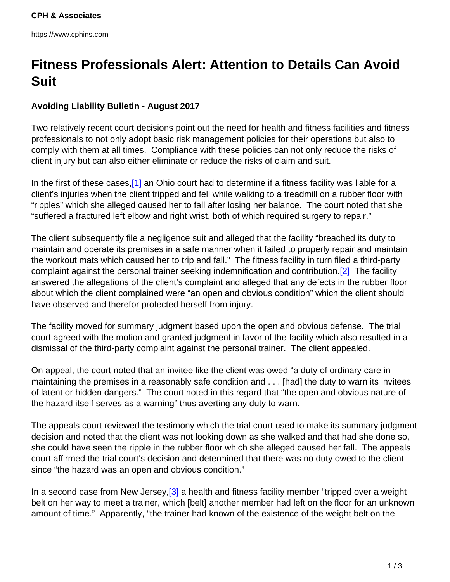## **Fitness Professionals Alert: Attention to Details Can Avoid Suit**

## **Avoiding Liability Bulletin - August 2017**

Two relatively recent court decisions point out the need for health and fitness facilities and fitness professionals to not only adopt basic risk management policies for their operations but also to comply with them at all times. Compliance with these policies can not only reduce the risks of client injury but can also either eliminate or reduce the risks of claim and suit.

In the first of these cases, [1] an Ohio court had to determine if a fitness facility was liable for a client's injuries when the client tripped and fell while walking to a treadmill on a rubber floor with "ripples" which she alleged caused her to fall after losing her balance. The court noted that she "suffered a fractured left elbow and right wrist, both of which required surgery to repair."

The client subsequently file a negligence suit and alleged that the facility "breached its duty to maintain and operate its premises in a safe manner when it failed to properly repair and maintain the workout mats which caused her to trip and fall." The fitness facility in turn filed a third-party complaint against the personal trainer seeking indemnification and contribution.<sup>[2]</sup> The facility answered the allegations of the client's complaint and alleged that any defects in the rubber floor about which the client complained were "an open and obvious condition" which the client should have observed and therefor protected herself from injury.

The facility moved for summary judgment based upon the open and obvious defense. The trial court agreed with the motion and granted judgment in favor of the facility which also resulted in a dismissal of the third-party complaint against the personal trainer. The client appealed.

On appeal, the court noted that an invitee like the client was owed "a duty of ordinary care in maintaining the premises in a reasonably safe condition and . . . [had] the duty to warn its invitees of latent or hidden dangers." The court noted in this regard that "the open and obvious nature of the hazard itself serves as a warning" thus averting any duty to warn.

The appeals court reviewed the testimony which the trial court used to make its summary judgment decision and noted that the client was not looking down as she walked and that had she done so, she could have seen the ripple in the rubber floor which she alleged caused her fall. The appeals court affirmed the trial court's decision and determined that there was no duty owed to the client since "the hazard was an open and obvious condition."

In a second case from New Jersey, [3] a health and fitness facility member "tripped over a weight belt on her way to meet a trainer, which [belt] another member had left on the floor for an unknown amount of time." Apparently, "the trainer had known of the existence of the weight belt on the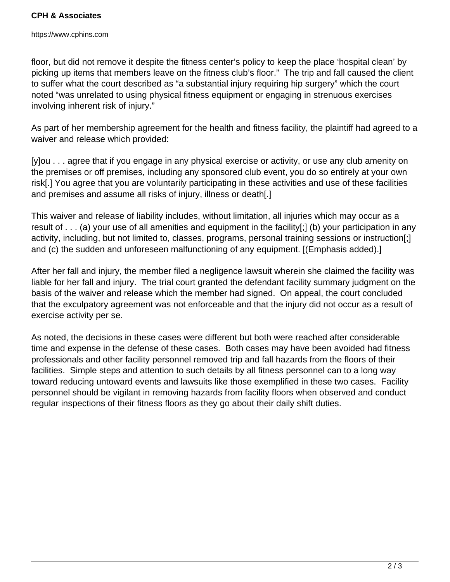https://www.cphins.com

floor, but did not remove it despite the fitness center's policy to keep the place 'hospital clean' by picking up items that members leave on the fitness club's floor." The trip and fall caused the client to suffer what the court described as "a substantial injury requiring hip surgery" which the court noted "was unrelated to using physical fitness equipment or engaging in strenuous exercises involving inherent risk of injury."

As part of her membership agreement for the health and fitness facility, the plaintiff had agreed to a waiver and release which provided:

[y]ou . . . agree that if you engage in any physical exercise or activity, or use any club amenity on the premises or off premises, including any sponsored club event, you do so entirely at your own risk[.] You agree that you are voluntarily participating in these activities and use of these facilities and premises and assume all risks of injury, illness or death[.]

This waiver and release of liability includes, without limitation, all injuries which may occur as a result of . . . (a) your use of all amenities and equipment in the facility[;] (b) your participation in any activity, including, but not limited to, classes, programs, personal training sessions or instruction[;] and (c) the sudden and unforeseen malfunctioning of any equipment. [(Emphasis added).]

After her fall and injury, the member filed a negligence lawsuit wherein she claimed the facility was liable for her fall and injury. The trial court granted the defendant facility summary judgment on the basis of the waiver and release which the member had signed. On appeal, the court concluded that the exculpatory agreement was not enforceable and that the injury did not occur as a result of exercise activity per se.

As noted, the decisions in these cases were different but both were reached after considerable time and expense in the defense of these cases. Both cases may have been avoided had fitness professionals and other facility personnel removed trip and fall hazards from the floors of their facilities. Simple steps and attention to such details by all fitness personnel can to a long way toward reducing untoward events and lawsuits like those exemplified in these two cases. Facility personnel should be vigilant in removing hazards from facility floors when observed and conduct regular inspections of their fitness floors as they go about their daily shift duties.